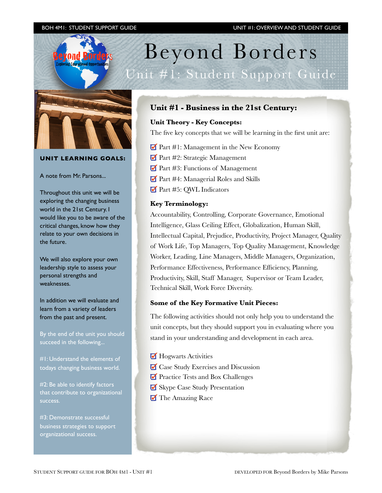

# **UNIT LEARNING GOALS:**

A note from Mr. Parsons...

Throughout this unit we will be exploring the changing business world in the 21st Century. I would like you to be aware of the critical changes, know how they relate to your own decisions in the future.

We will also explore your own leadership style to assess your personal strengths and weaknesses.

In addition we will evaluate and learn from a variety of leaders from the past and present.

By the end of the unit you should succeed in the following...

#1: Understand the elements of todays changing business world.

#2: Be able to identify factors that contribute to organizational success.

#3: Demonstrate successful business strategies to support organizational success.

# **Unit #1 - Business in the 21st Century:**

Beyond Borders

## **Unit Theory - Key Concepts:**

The five key concepts that we will be learning in the first unit are:

- Part #1: Management in the New Economy
- Part #2: Strategic Management
- Part #3: Functions of Management
- Part #4: Managerial Roles and Skills
- Part #5: QWL Indicators

#### **Key Terminology:**

Accountability, Controlling, Corporate Governance, Emotional Intelligence, Glass Ceiling Effect, Globalization, Human Skill, Intellectual Capital, Prejudice, Productivity, Project Manager, Quality of Work Life, Top Managers, Top Quality Management, Knowledge Worker, Leading, Line Managers, Middle Managers, Organization, Performance Effectiveness, Performance Efficiency, Planning, Productivity, Skill, Staff Manager, Supervisor or Team Leader, Technical Skill, Work Force Diversity.

## **Some of the Key Formative Unit Pieces:**

The following activities should not only help you to understand the unit concepts, but they should support you in evaluating where you stand in your understanding and development in each area.

- Hogwarts Activities
- Case Study Exercises and Discussion
- **Practice Tests and Box Challenges**
- Skype Case Study Presentation
- The Amazing Race